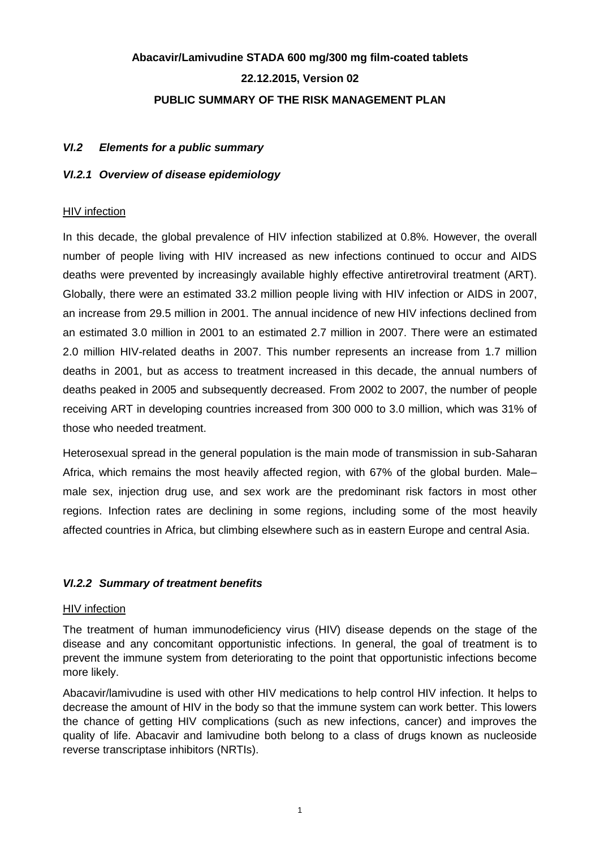# **Abacavir/Lamivudine STADA 600 mg/300 mg film-coated tablets 22.12.2015, Version 02 PUBLIC SUMMARY OF THE RISK MANAGEMENT PLAN**

### *VI.2 Elements for a public summary*

### *VI.2.1 Overview of disease epidemiology*

### **HIV** infection

In this decade, the global prevalence of HIV infection stabilized at 0.8%. However, the overall number of people living with HIV increased as new infections continued to occur and AIDS deaths were prevented by increasingly available highly effective antiretroviral treatment (ART). Globally, there were an estimated 33.2 million people living with HIV infection or AIDS in 2007, an increase from 29.5 million in 2001. The annual incidence of new HIV infections declined from an estimated 3.0 million in 2001 to an estimated 2.7 million in 2007. There were an estimated 2.0 million HIV-related deaths in 2007. This number represents an increase from 1.7 million deaths in 2001, but as access to treatment increased in this decade, the annual numbers of deaths peaked in 2005 and subsequently decreased. From 2002 to 2007, the number of people receiving ART in developing countries increased from 300 000 to 3.0 million, which was 31% of those who needed treatment.

Heterosexual spread in the general population is the main mode of transmission in sub-Saharan Africa, which remains the most heavily affected region, with 67% of the global burden. Male– male sex, injection drug use, and sex work are the predominant risk factors in most other regions. Infection rates are declining in some regions, including some of the most heavily affected countries in Africa, but climbing elsewhere such as in eastern Europe and central Asia.

### *VI.2.2 Summary of treatment benefits*

#### HIV infection

The treatment of human immunodeficiency virus (HIV) disease depends on the stage of the disease and any concomitant opportunistic infections. In general, the goal of treatment is to prevent the immune system from deteriorating to the point that opportunistic infections become more likely.

Abacavir/lamivudine is used with other HIV medications to help control HIV infection. It helps to decrease the amount of HIV in the body so that the immune system can work better. This lowers the chance of getting HIV complications (such as new infections, cancer) and improves the quality of life. Abacavir and lamivudine both belong to a class of drugs known as nucleoside reverse transcriptase inhibitors (NRTIs).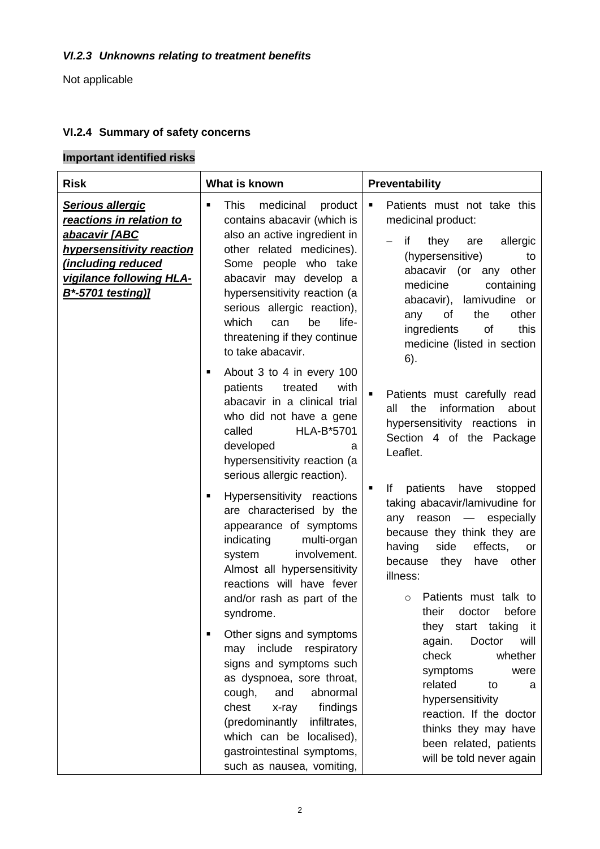### *VI.2.3 Unknowns relating to treatment benefits*

Not applicable

### **VI.2.4 Summary of safety concerns**

# **Important identified risks**

| <b>Risk</b>                                                                                                                                                                    | What is known                                                                                                                                                                                                                                                                                                                                   | Preventability                                                                                                                                                                                                                                                                                                       |
|--------------------------------------------------------------------------------------------------------------------------------------------------------------------------------|-------------------------------------------------------------------------------------------------------------------------------------------------------------------------------------------------------------------------------------------------------------------------------------------------------------------------------------------------|----------------------------------------------------------------------------------------------------------------------------------------------------------------------------------------------------------------------------------------------------------------------------------------------------------------------|
| <b>Serious allergic</b><br>reactions in relation to<br>abacavir [ABC<br><b>hypersensitivity reaction</b><br>including reduced<br>vigilance following HLA-<br>B*-5701 testing)] | medicinal<br>This<br>product<br>$\blacksquare$<br>contains abacavir (which is<br>also an active ingredient in<br>other related medicines).<br>Some people who take<br>abacavir may develop a<br>hypersensitivity reaction (a<br>serious allergic reaction),<br>which<br>life-<br>be<br>can<br>threatening if they continue<br>to take abacavir. | Patients must not take this<br>$\blacksquare$<br>medicinal product:<br>if<br>allergic<br>they<br>are<br>(hypersensitive)<br>to<br>abacavir (or any<br>other<br>medicine<br>containing<br>lamivudine or<br>abacavir),<br>the<br>other<br>any<br>of<br>ingredients<br>of<br>this<br>medicine (listed in section<br>6). |
|                                                                                                                                                                                | About 3 to 4 in every 100<br>٠<br>treated<br>patients<br>with<br>abacavir in a clinical trial<br>who did not have a gene<br>called<br><b>HLA-B*5701</b><br>developed<br>a<br>hypersensitivity reaction (a<br>serious allergic reaction).                                                                                                        | Patients must carefully read<br>$\blacksquare$<br>the<br>information<br>all<br>about<br>hypersensitivity reactions in<br>Section 4 of the Package<br>Leaflet.<br>lf                                                                                                                                                  |
|                                                                                                                                                                                | Hypersensitivity reactions<br>٠<br>are characterised by the<br>appearance of symptoms<br>indicating<br>multi-organ<br>involvement.<br>system<br>Almost all hypersensitivity<br>reactions will have fever<br>and/or rash as part of the<br>syndrome.                                                                                             | patients<br>have<br>stopped<br>taking abacavir/lamivudine for<br>any reason<br>especially<br>$\overline{\phantom{0}}$<br>because they think they are<br>side<br>effects,<br>having<br>or<br>because they<br>other<br>have<br>illness:<br>Patients must talk to<br>$\circ$<br>their<br>doctor<br>before               |
|                                                                                                                                                                                | Other signs and symptoms<br>include<br>may<br>respiratory<br>signs and symptoms such<br>as dyspnoea, sore throat,<br>cough,<br>abnormal<br>and<br>findings<br>chest<br>x-ray<br>(predominantly<br>infiltrates,<br>which can be localised),<br>gastrointestinal symptoms,<br>such as nausea, vomiting,                                           | taking<br>they<br>start<br>it<br>again.<br>Doctor<br>will<br>check<br>whether<br>symptoms<br>were<br>related<br>to<br>a<br>hypersensitivity<br>reaction. If the doctor<br>thinks they may have<br>been related, patients<br>will be told never again                                                                 |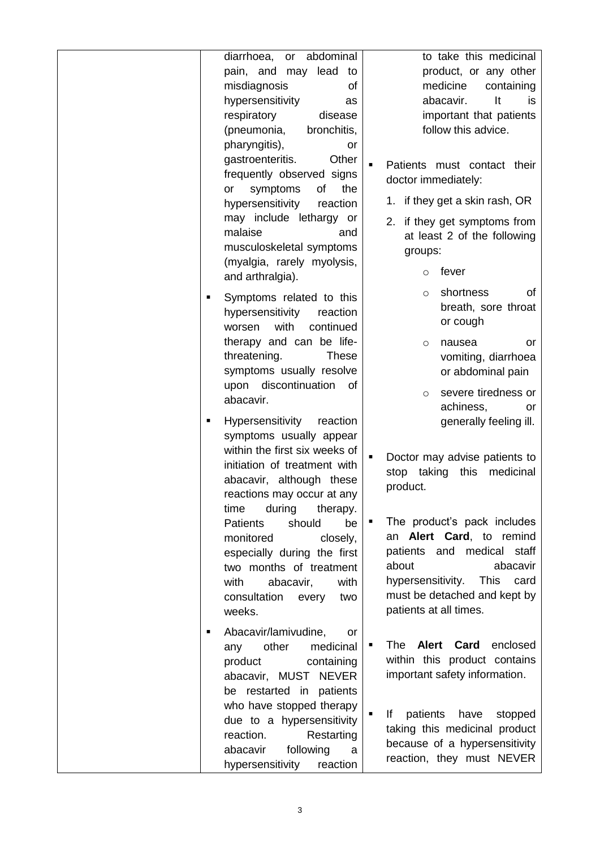diarrhoea, or abdominal pain, and may lead to misdiagnosis of hypersensitivity as respiratory disease (pneumonia, bronchitis, pharyngitis), or gastroenteritis. Other frequently observed signs or symptoms of the hypersensitivity reaction may include lethargy or malaise and musculoskeletal symptoms (myalgia, rarely myolysis, and arthralgia). Symptoms related to this hypersensitivity reaction worsen with continued therapy and can be lifethreatening. These symptoms usually resolve upon discontinuation of abacavir. **Hypersensitivity** reaction symptoms usually appear within the first six weeks of initiation of treatment with abacavir, although these reactions may occur at any time during therapy. Patients should be monitored closely, especially during the first two months of treatment with abacavir. with consultation every two weeks. Abacavir/lamivudine, or any other medicinal product containing abacavir, MUST NEVER be restarted in patients who have stopped therapy due to a hypersensitivity reaction. Restarting abacavir following a hypersensitivity reaction to take this medicinal product, or any other medicine containing abacavir. It is important that patients follow this advice. Patients must contact their doctor immediately: 1. if they get a skin rash, OR 2. if they get symptoms from at least 2 of the following groups: o fever o shortness of breath, sore throat or cough o nausea or vomiting, diarrhoea or abdominal pain o severe tiredness or achiness, or generally feeling ill. Doctor may advise patients to stop taking this medicinal product. • The product's pack includes an **Alert Card**, to remind patients and medical staff about abacavir hypersensitivity. This card must be detached and kept by patients at all times. **The Alert Card** enclosed within this product contains important safety information. If patients have stopped taking this medicinal product because of a hypersensitivity reaction, they must NEVER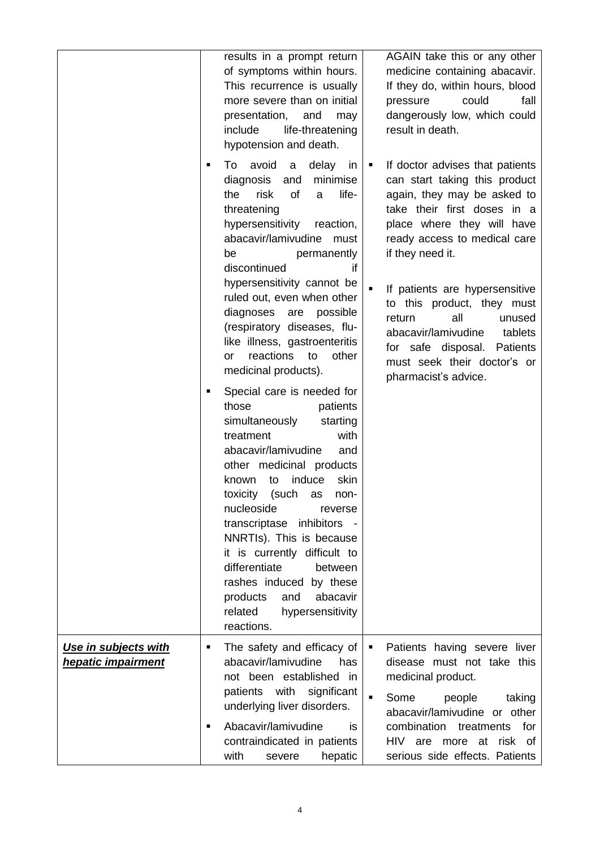|                                                   | ٠ | results in a prompt return<br>of symptoms within hours.<br>This recurrence is usually<br>more severe than on initial<br>presentation,<br>and<br>may<br>include<br>life-threatening<br>hypotension and death.<br>To avoid<br>delay<br>$\mathbf a$<br>in<br>minimise<br>diagnosis<br>and<br>risk<br>of<br>life-<br>the<br>a                                                                                                                                                              | ٠              | AGAIN take this or any other<br>medicine containing abacavir.<br>If they do, within hours, blood<br>could<br>fall<br>pressure<br>dangerously low, which could<br>result in death.<br>If doctor advises that patients<br>can start taking this product<br>again, they may be asked to |
|---------------------------------------------------|---|----------------------------------------------------------------------------------------------------------------------------------------------------------------------------------------------------------------------------------------------------------------------------------------------------------------------------------------------------------------------------------------------------------------------------------------------------------------------------------------|----------------|--------------------------------------------------------------------------------------------------------------------------------------------------------------------------------------------------------------------------------------------------------------------------------------|
|                                                   |   | threatening<br>hypersensitivity<br>reaction,<br>abacavir/lamivudine<br>must<br>permanently<br>be<br>discontinued<br>if<br>hypersensitivity cannot be                                                                                                                                                                                                                                                                                                                                   | $\blacksquare$ | take their first doses in a<br>place where they will have<br>ready access to medical care<br>if they need it.                                                                                                                                                                        |
|                                                   |   | ruled out, even when other<br>diagnoses<br>possible<br>are<br>(respiratory diseases, flu-<br>like illness, gastroenteritis<br>reactions<br>other<br>to<br>or<br>medicinal products).                                                                                                                                                                                                                                                                                                   |                | If patients are hypersensitive<br>to this product, they must<br>all<br>return<br>unused<br>abacavir/lamivudine<br>tablets<br>for safe disposal.<br>Patients<br>must seek their doctor's or<br>pharmacist's advice.                                                                   |
|                                                   | ٠ | Special care is needed for<br>those<br>patients<br>simultaneously<br>starting<br>treatment<br>with<br>abacavir/lamivudine<br>and<br>other medicinal products<br>induce<br>skin<br>to<br>known<br>toxicity<br>(such<br>as<br>non-<br>nucleoside<br>reverse<br>transcriptase inhibitors -<br>NNRTIs). This is because<br>it is currently difficult to<br>differentiate<br>between<br>rashes induced by these<br>products<br>and<br>abacavir<br>related<br>hypersensitivity<br>reactions. |                |                                                                                                                                                                                                                                                                                      |
| Use in subjects with<br><b>hepatic impairment</b> | ٠ | The safety and efficacy of<br>abacavir/lamivudine<br>has<br>not been established in                                                                                                                                                                                                                                                                                                                                                                                                    | ٠              | Patients having severe liver<br>disease must not take this<br>medicinal product.                                                                                                                                                                                                     |
|                                                   | ٠ | patients with significant<br>underlying liver disorders.<br>Abacavir/lamivudine<br>is.<br>contraindicated in patients<br>with<br>hepatic<br>severe                                                                                                                                                                                                                                                                                                                                     | $\blacksquare$ | Some<br>people<br>taking<br>abacavir/lamivudine or other<br>for<br>combination treatments<br>HIV are more at risk of<br>serious side effects. Patients                                                                                                                               |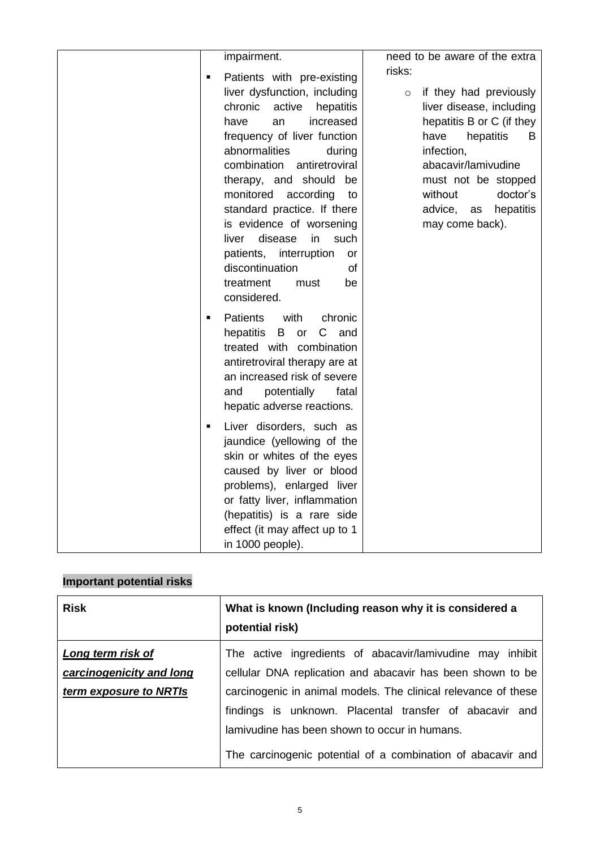| impairment.<br>Patients with pre-existing<br>liver dysfunction, including<br>chronic<br>active<br>hepatitis<br>have<br>an<br>increased<br>frequency of liver function<br>abnormalities<br>during<br>combination<br>antiretroviral<br>therapy, and should be<br>monitored<br>according<br>to<br>standard practice. If there<br>is evidence of worsening<br>disease<br>in<br>liver<br>such<br>patients, interruption<br>or<br>discontinuation<br>of<br>treatment<br>must<br>be<br>considered. | need to be aware of the extra<br>risks:<br>if they had previously<br>$\circ$<br>liver disease, including<br>hepatitis B or C (if they<br>have<br>hepatitis<br>B<br>infection,<br>abacavir/lamivudine<br>must not be stopped<br>without<br>doctor's<br>advice,<br>hepatitis<br>as<br>may come back). |
|---------------------------------------------------------------------------------------------------------------------------------------------------------------------------------------------------------------------------------------------------------------------------------------------------------------------------------------------------------------------------------------------------------------------------------------------------------------------------------------------|-----------------------------------------------------------------------------------------------------------------------------------------------------------------------------------------------------------------------------------------------------------------------------------------------------|
| <b>Patients</b><br>with<br>chronic<br>$\blacksquare$<br>hepatitis<br>B<br>C<br>and<br>or<br>treated with combination<br>antiretroviral therapy are at<br>an increased risk of severe<br>potentially<br>fatal<br>and<br>hepatic adverse reactions.                                                                                                                                                                                                                                           |                                                                                                                                                                                                                                                                                                     |
| Liver disorders, such as<br>$\blacksquare$<br>jaundice (yellowing of the<br>skin or whites of the eyes<br>caused by liver or blood<br>problems), enlarged liver<br>or fatty liver, inflammation<br>(hepatitis) is a rare side<br>effect (it may affect up to 1<br>in 1000 people).                                                                                                                                                                                                          |                                                                                                                                                                                                                                                                                                     |

# **Important potential risks**

| <b>Risk</b>                                   | What is known (Including reason why it is considered a<br>potential risk)                                                                                                                                                                 |
|-----------------------------------------------|-------------------------------------------------------------------------------------------------------------------------------------------------------------------------------------------------------------------------------------------|
| Long term risk of<br>carcinogenicity and long | The active ingredients of abacavir/lamivudine may inhibit<br>cellular DNA replication and abacavir has been shown to be                                                                                                                   |
| term exposure to NRTIs                        | carcinogenic in animal models. The clinical relevance of these<br>findings is unknown. Placental transfer of abacavir and<br>lamivudine has been shown to occur in humans.<br>The carcinogenic potential of a combination of abacavir and |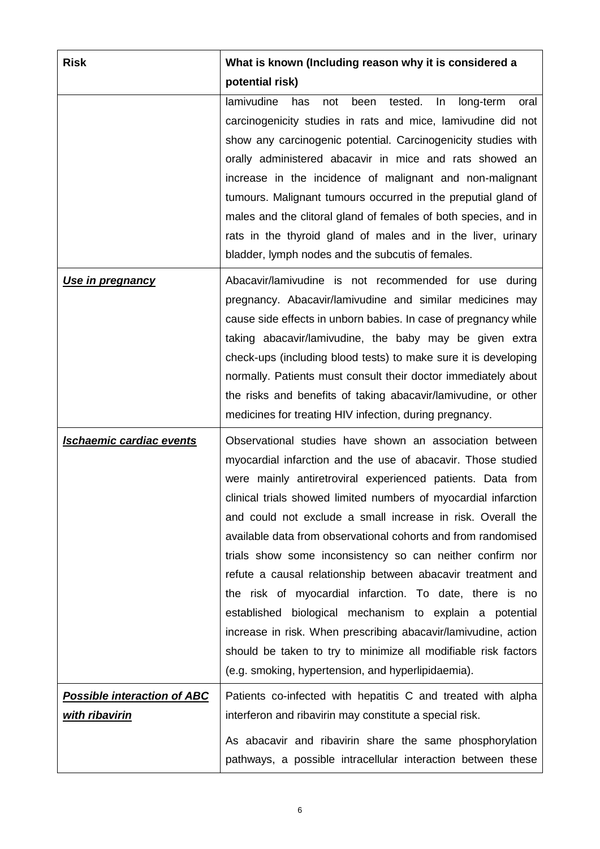| <b>Risk</b>                                          | What is known (Including reason why it is considered a                                                                                                                                                                                                                                                                                                                                                                                                                                                                                                                                                                                                                                                                                                                                                                               |
|------------------------------------------------------|--------------------------------------------------------------------------------------------------------------------------------------------------------------------------------------------------------------------------------------------------------------------------------------------------------------------------------------------------------------------------------------------------------------------------------------------------------------------------------------------------------------------------------------------------------------------------------------------------------------------------------------------------------------------------------------------------------------------------------------------------------------------------------------------------------------------------------------|
|                                                      | potential risk)<br>lamivudine<br>tested.<br>has<br>not<br>been<br>In<br>long-term<br>oral<br>carcinogenicity studies in rats and mice, lamivudine did not<br>show any carcinogenic potential. Carcinogenicity studies with<br>orally administered abacavir in mice and rats showed an<br>increase in the incidence of malignant and non-malignant<br>tumours. Malignant tumours occurred in the preputial gland of<br>males and the clitoral gland of females of both species, and in<br>rats in the thyroid gland of males and in the liver, urinary<br>bladder, lymph nodes and the subcutis of females.                                                                                                                                                                                                                           |
| <u>Use in pregnancy</u>                              | Abacavir/lamivudine is not recommended for use during<br>pregnancy. Abacavir/lamivudine and similar medicines may<br>cause side effects in unborn babies. In case of pregnancy while<br>taking abacavir/lamivudine, the baby may be given extra<br>check-ups (including blood tests) to make sure it is developing<br>normally. Patients must consult their doctor immediately about<br>the risks and benefits of taking abacavir/lamivudine, or other<br>medicines for treating HIV infection, during pregnancy.                                                                                                                                                                                                                                                                                                                    |
| <b>Ischaemic cardiac events</b>                      | Observational studies have shown an association between<br>myocardial infarction and the use of abacavir. Those studied<br>were mainly antiretroviral experienced patients. Data from<br>clinical trials showed limited numbers of myocardial infarction<br>and could not exclude a small increase in risk. Overall the<br>available data from observational cohorts and from randomised<br>trials show some inconsistency so can neither confirm nor<br>refute a causal relationship between abacavir treatment and<br>the risk of myocardial infarction. To date, there is no<br>established biological mechanism to explain a potential<br>increase in risk. When prescribing abacavir/lamivudine, action<br>should be taken to try to minimize all modifiable risk factors<br>(e.g. smoking, hypertension, and hyperlipidaemia). |
| <b>Possible interaction of ABC</b><br>with ribavirin | Patients co-infected with hepatitis C and treated with alpha<br>interferon and ribavirin may constitute a special risk.<br>As abacavir and ribavirin share the same phosphorylation<br>pathways, a possible intracellular interaction between these                                                                                                                                                                                                                                                                                                                                                                                                                                                                                                                                                                                  |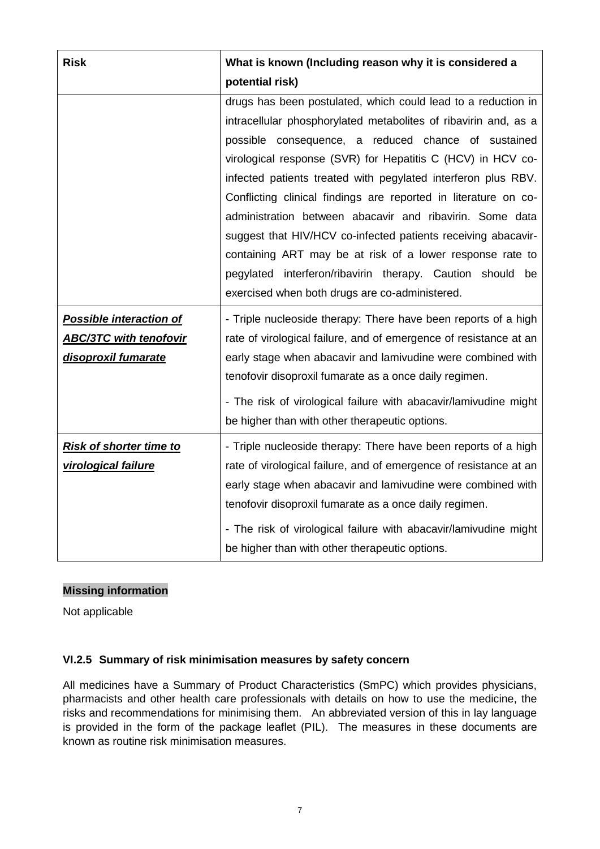| <b>Risk</b>                    | What is known (Including reason why it is considered a                                                                              |
|--------------------------------|-------------------------------------------------------------------------------------------------------------------------------------|
|                                | potential risk)                                                                                                                     |
|                                | drugs has been postulated, which could lead to a reduction in                                                                       |
|                                | intracellular phosphorylated metabolites of ribavirin and, as a                                                                     |
|                                | possible consequence, a reduced chance of sustained                                                                                 |
|                                | virological response (SVR) for Hepatitis C (HCV) in HCV co-                                                                         |
|                                | infected patients treated with pegylated interferon plus RBV.                                                                       |
|                                | Conflicting clinical findings are reported in literature on co-                                                                     |
|                                | administration between abacavir and ribavirin. Some data                                                                            |
|                                | suggest that HIV/HCV co-infected patients receiving abacavir-                                                                       |
|                                | containing ART may be at risk of a lower response rate to                                                                           |
|                                | pegylated interferon/ribavirin therapy. Caution should be                                                                           |
|                                | exercised when both drugs are co-administered.                                                                                      |
| <b>Possible interaction of</b> | - Triple nucleoside therapy: There have been reports of a high                                                                      |
| <b>ABC/3TC with tenofovir</b>  | rate of virological failure, and of emergence of resistance at an                                                                   |
| disoproxil fumarate            | early stage when abacavir and lamivudine were combined with                                                                         |
|                                | tenofovir disoproxil fumarate as a once daily regimen.                                                                              |
|                                | - The risk of virological failure with abacavir/lamivudine might                                                                    |
|                                | be higher than with other therapeutic options.                                                                                      |
|                                |                                                                                                                                     |
| <b>Risk of shorter time to</b> | - Triple nucleoside therapy: There have been reports of a high<br>rate of virological failure, and of emergence of resistance at an |
| virological failure            | early stage when abacavir and lamivudine were combined with                                                                         |
|                                | tenofovir disoproxil fumarate as a once daily regimen.                                                                              |
|                                |                                                                                                                                     |
|                                | - The risk of virological failure with abacavir/lamivudine might                                                                    |
|                                | be higher than with other therapeutic options.                                                                                      |

### **Missing information**

Not applicable

### **VI.2.5 Summary of risk minimisation measures by safety concern**

All medicines have a Summary of Product Characteristics (SmPC) which provides physicians, pharmacists and other health care professionals with details on how to use the medicine, the risks and recommendations for minimising them. An abbreviated version of this in lay language is provided in the form of the package leaflet (PIL). The measures in these documents are known as routine risk minimisation measures.